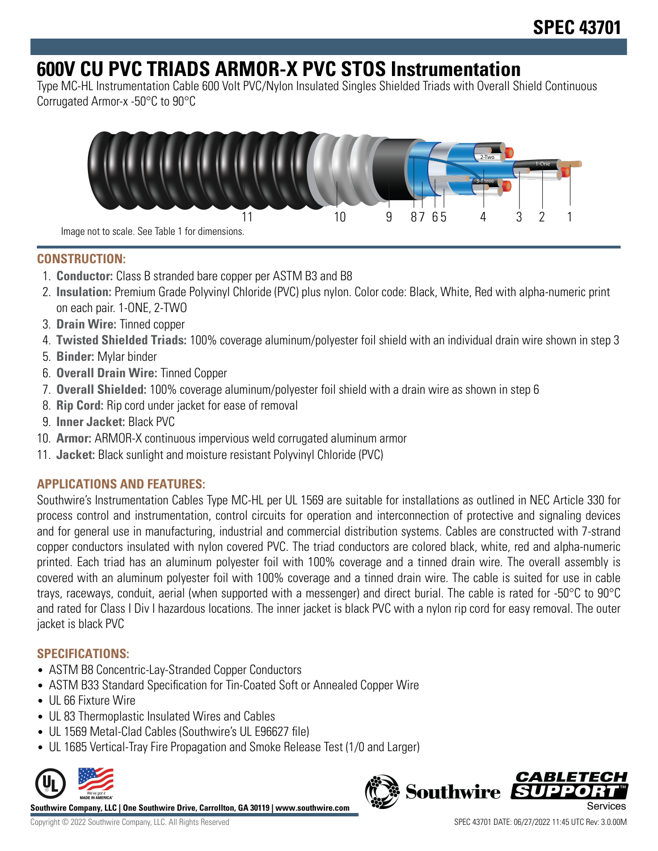# **600V CU PVC TRIADS ARMOR-X PVC STOS Instrumentation**

Type MC-HL Instrumentation Cable 600 Volt PVC/Nylon Insulated Singles Shielded Triads with Overall Shield Continuous Corrugated Armor-x -50°C to 90°C



## **CONSTRUCTION:**

- 1. **Conductor:** Class B stranded bare copper per ASTM B3 and B8
- 2. **Insulation:** Premium Grade Polyvinyl Chloride (PVC) plus nylon. Color code: Black, White, Red with alpha-numeric print on each pair. 1-ONE, 2-TWO
- 3. **Drain Wire:** Tinned copper
- 4. **Twisted Shielded Triads:** 100% coverage aluminum/polyester foil shield with an individual drain wire shown in step 3
- 5. **Binder:** Mylar binder
- 6. **Overall Drain Wire:** Tinned Copper
- 7. **Overall Shielded:** 100% coverage aluminum/polyester foil shield with a drain wire as shown in step 6
- 8. **Rip Cord:** Rip cord under jacket for ease of removal
- 9. **Inner Jacket:** Black PVC
- 10. **Armor:** ARMOR-X continuous impervious weld corrugated aluminum armor
- 11. **Jacket:** Black sunlight and moisture resistant Polyvinyl Chloride (PVC)

# **APPLICATIONS AND FEATURES:**

Southwire's Instrumentation Cables Type MC-HL per UL 1569 are suitable for installations as outlined in NEC Article 330 for process control and instrumentation, control circuits for operation and interconnection of protective and signaling devices and for general use in manufacturing, industrial and commercial distribution systems. Cables are constructed with 7-strand copper conductors insulated with nylon covered PVC. The triad conductors are colored black, white, red and alpha-numeric printed. Each triad has an aluminum polyester foil with 100% coverage and a tinned drain wire. The overall assembly is covered with an aluminum polyester foil with 100% coverage and a tinned drain wire. The cable is suited for use in cable trays, raceways, conduit, aerial (when supported with a messenger) and direct burial. The cable is rated for -50°C to 90°C and rated for Class I Div I hazardous locations. The inner jacket is black PVC with a nylon rip cord for easy removal. The outer jacket is black PVC

## **SPECIFICATIONS:**

- ASTM B8 Concentric-Lay-Stranded Copper Conductors
- ASTM B33 Standard Specification for Tin-Coated Soft or Annealed Copper Wire
- UL 66 Fixture Wire
- UL 83 Thermoplastic Insulated Wires and Cables
- UL 1569 Metal-Clad Cables (Southwire's UL E96627 file)
- UL 1685 Vertical-Tray Fire Propagation and Smoke Release Test (1/0 and Larger)



**Southwire Company, LLC | One Southwire Drive, Carrollton, GA 30119 | www.southwire.com**



Copyright © 2022 Southwire Company, LLC. All Rights Reserved SPEC 43701 DATE: 06/27/2022 11:45 UTC Rev: 3.0.00M